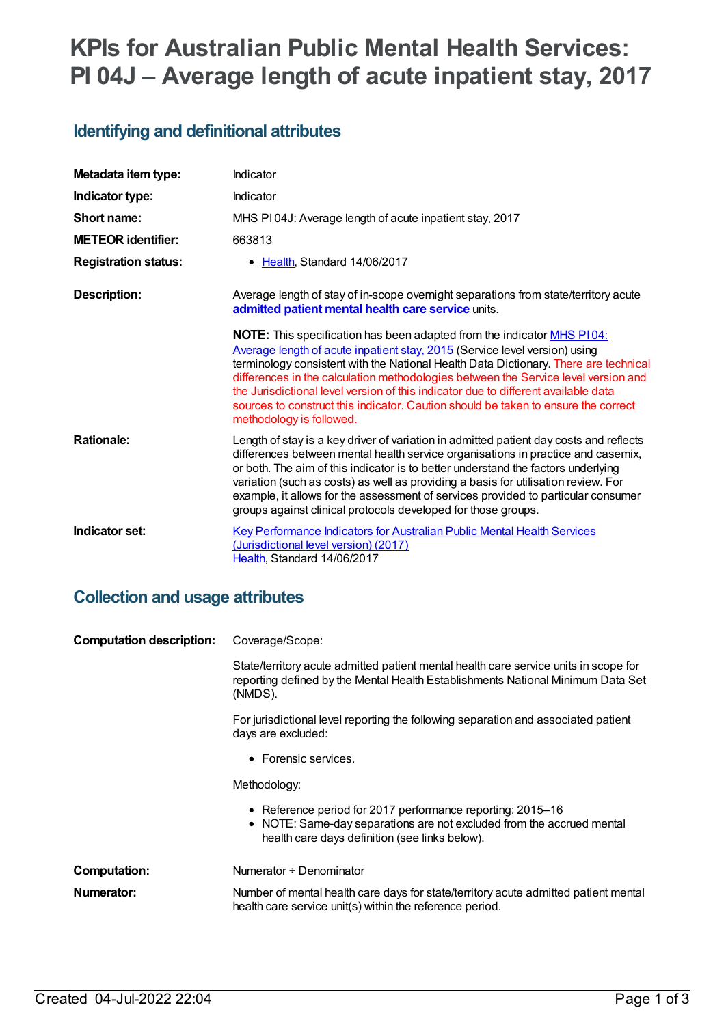# **KPIs for Australian Public Mental Health Services: PI 04J – Average length of acute inpatient stay, 2017**

### **Identifying and definitional attributes**

| Metadata item type:         | Indicator                                                                                                                                                                                                                                                                                                                                                                                                                                                                                                                                                 |
|-----------------------------|-----------------------------------------------------------------------------------------------------------------------------------------------------------------------------------------------------------------------------------------------------------------------------------------------------------------------------------------------------------------------------------------------------------------------------------------------------------------------------------------------------------------------------------------------------------|
| Indicator type:             | Indicator                                                                                                                                                                                                                                                                                                                                                                                                                                                                                                                                                 |
| Short name:                 | MHS PI04J: Average length of acute inpatient stay, 2017                                                                                                                                                                                                                                                                                                                                                                                                                                                                                                   |
| <b>METEOR identifier:</b>   | 663813                                                                                                                                                                                                                                                                                                                                                                                                                                                                                                                                                    |
| <b>Registration status:</b> | • Health, Standard 14/06/2017                                                                                                                                                                                                                                                                                                                                                                                                                                                                                                                             |
| <b>Description:</b>         | Average length of stay of in-scope overnight separations from state/territory acute<br>admitted patient mental health care service units.                                                                                                                                                                                                                                                                                                                                                                                                                 |
|                             | <b>NOTE:</b> This specification has been adapted from the indicator <b>MHS P104</b> :<br>Average length of acute inpatient stay, 2015 (Service level version) using<br>terminology consistent with the National Health Data Dictionary. There are technical<br>differences in the calculation methodologies between the Service level version and<br>the Jurisdictional level version of this indicator due to different available data<br>sources to construct this indicator. Caution should be taken to ensure the correct<br>methodology is followed. |
| <b>Rationale:</b>           | Length of stay is a key driver of variation in admitted patient day costs and reflects<br>differences between mental health service organisations in practice and casemix,<br>or both. The aim of this indicator is to better understand the factors underlying<br>variation (such as costs) as well as providing a basis for utilisation review. For<br>example, it allows for the assessment of services provided to particular consumer<br>groups against clinical protocols developed for those groups.                                               |
| Indicator set:              | <b>Key Performance Indicators for Australian Public Mental Health Services</b><br>(Jurisdictional level version) (2017)<br>Health, Standard 14/06/2017                                                                                                                                                                                                                                                                                                                                                                                                    |

#### **Collection and usage attributes**

| <b>Computation description:</b> | Coverage/Scope:                                                                                                                                                                       |
|---------------------------------|---------------------------------------------------------------------------------------------------------------------------------------------------------------------------------------|
|                                 | State/territory acute admitted patient mental health care service units in scope for<br>reporting defined by the Mental Health Establishments National Minimum Data Set<br>(NMDS).    |
|                                 | For jurisdictional level reporting the following separation and associated patient<br>days are excluded:                                                                              |
|                                 | • Forensic services.                                                                                                                                                                  |
|                                 | Methodology:                                                                                                                                                                          |
|                                 | • Reference period for 2017 performance reporting: 2015–16<br>• NOTE: Same-day separations are not excluded from the accrued mental<br>health care days definition (see links below). |
| <b>Computation:</b>             | Numerator ÷ Denominator                                                                                                                                                               |
| Numerator:                      | Number of mental health care days for state/territory acute admitted patient mental<br>health care service unit(s) within the reference period.                                       |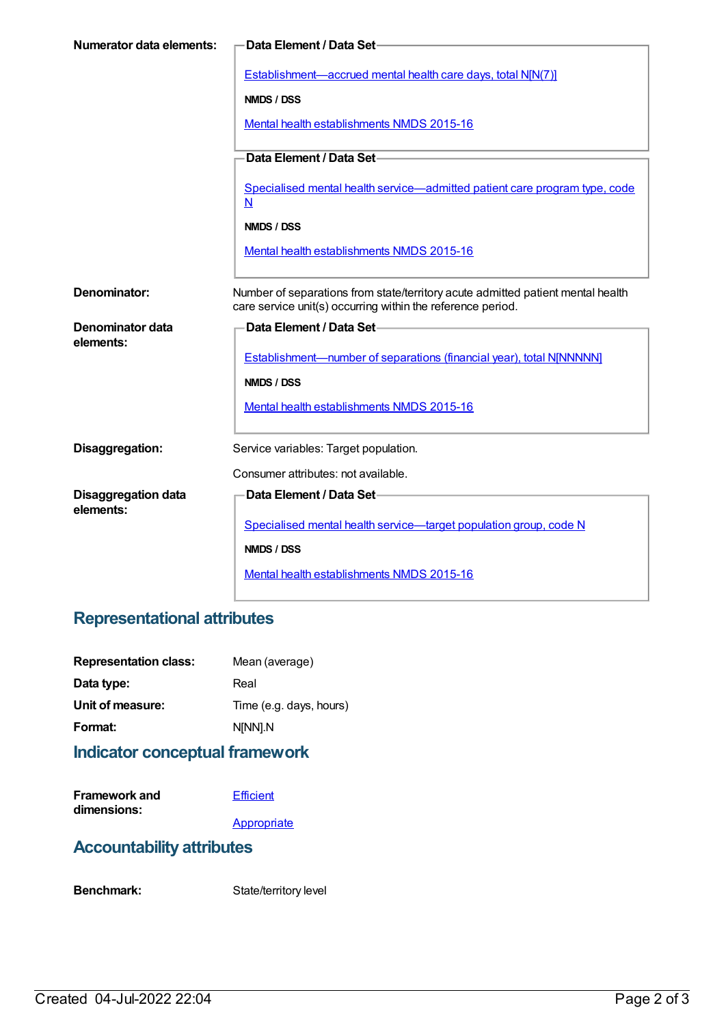| <b>Numerator data elements:</b> | Data Element / Data Set-                                                                                                                       |
|---------------------------------|------------------------------------------------------------------------------------------------------------------------------------------------|
|                                 | Establishment-accrued mental health care days, total N[N(7)]                                                                                   |
|                                 | NMDS / DSS                                                                                                                                     |
|                                 | Mental health establishments NMDS 2015-16                                                                                                      |
|                                 | Data Element / Data Set-                                                                                                                       |
|                                 | Specialised mental health service—admitted patient care program type, code<br>N                                                                |
|                                 | NMDS / DSS                                                                                                                                     |
|                                 | Mental health establishments NMDS 2015-16                                                                                                      |
| Denominator:                    | Number of separations from state/territory acute admitted patient mental health<br>care service unit(s) occurring within the reference period. |
| <b>Denominator data</b>         | Data Element / Data Set-                                                                                                                       |
| elements:                       | Establishment-number of separations (financial year), total NJNNNNN]                                                                           |
|                                 | NMDS / DSS                                                                                                                                     |
|                                 | Mental health establishments NMDS 2015-16                                                                                                      |
| Disaggregation:                 | Service variables: Target population.                                                                                                          |
|                                 | Consumer attributes: not available.                                                                                                            |
| <b>Disaggregation data</b>      | Data Element / Data Set-                                                                                                                       |
| elements:                       |                                                                                                                                                |
|                                 | Specialised mental health service-target population group, code N                                                                              |
|                                 | NMDS / DSS                                                                                                                                     |
|                                 | Mental health establishments NMDS 2015-16                                                                                                      |

## **Representational attributes**

| <b>Representation class:</b> | Mean (average)          |
|------------------------------|-------------------------|
| Data type:                   | Real                    |
| Unit of measure:             | Time (e.g. days, hours) |
| Format:                      | N[NN].N                 |
|                              |                         |

#### **Indicator conceptual framework**

| <b>Framework and</b> | Efficient |
|----------------------|-----------|
| dimensions:          |           |

**[Appropriate](https://meteor.aihw.gov.au/content/584871)** 

#### **Accountability attributes**

Benchmark: State/territory level